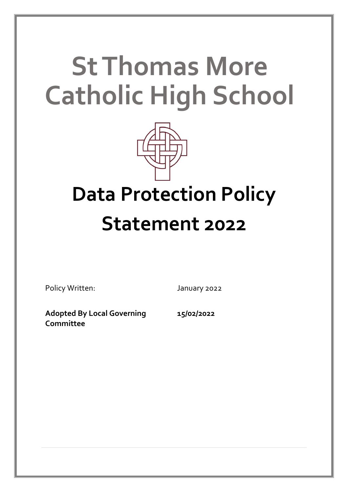# **St Thomas More Catholic High School**



## **Data Protection Policy Statement 2022**

Policy Written: January 2022

**Adopted By Local Governing Committee**

**15/02/2022**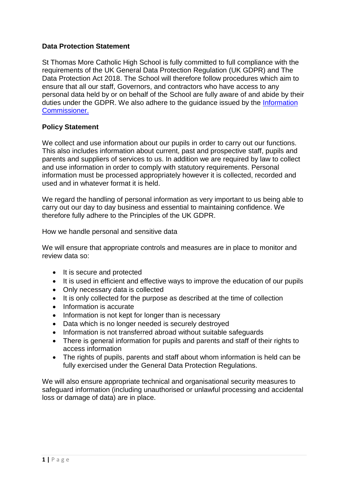#### **Data Protection Statement**

St Thomas More Catholic High School is fully committed to full compliance with the requirements of the UK General Data Protection Regulation (UK GDPR) and The Data Protection Act 2018. The School will therefore follow procedures which aim to ensure that all our staff, Governors, and contractors who have access to any personal data held by or on behalf of the School are fully aware of and abide by their duties under the GDPR. We also adhere to the guidance issued by the [Information](https://ico.org.uk/for-organisations/guide-to-data-protection/guide-to-the-general-data-protection-regulation-gdpr/)  [Commissioner.](https://ico.org.uk/for-organisations/guide-to-data-protection/guide-to-the-general-data-protection-regulation-gdpr/) 

#### **Policy Statement**

We collect and use information about our pupils in order to carry out our functions. This also includes information about current, past and prospective staff, pupils and parents and suppliers of services to us. In addition we are required by law to collect and use information in order to comply with statutory requirements. Personal information must be processed appropriately however it is collected, recorded and used and in whatever format it is held.

We regard the handling of personal information as very important to us being able to carry out our day to day business and essential to maintaining confidence. We therefore fully adhere to the Principles of the UK GDPR.

How we handle personal and sensitive data

We will ensure that appropriate controls and measures are in place to monitor and review data so:

- It is secure and protected
- It is used in efficient and effective ways to improve the education of our pupils
- Only necessary data is collected
- It is only collected for the purpose as described at the time of collection
- Information is accurate
- Information is not kept for longer than is necessary
- Data which is no longer needed is securely destroyed
- Information is not transferred abroad without suitable safeguards
- There is general information for pupils and parents and staff of their rights to access information
- The rights of pupils, parents and staff about whom information is held can be fully exercised under the General Data Protection Regulations.

We will also ensure appropriate technical and organisational security measures to safeguard information (including unauthorised or unlawful processing and accidental loss or damage of data) are in place.